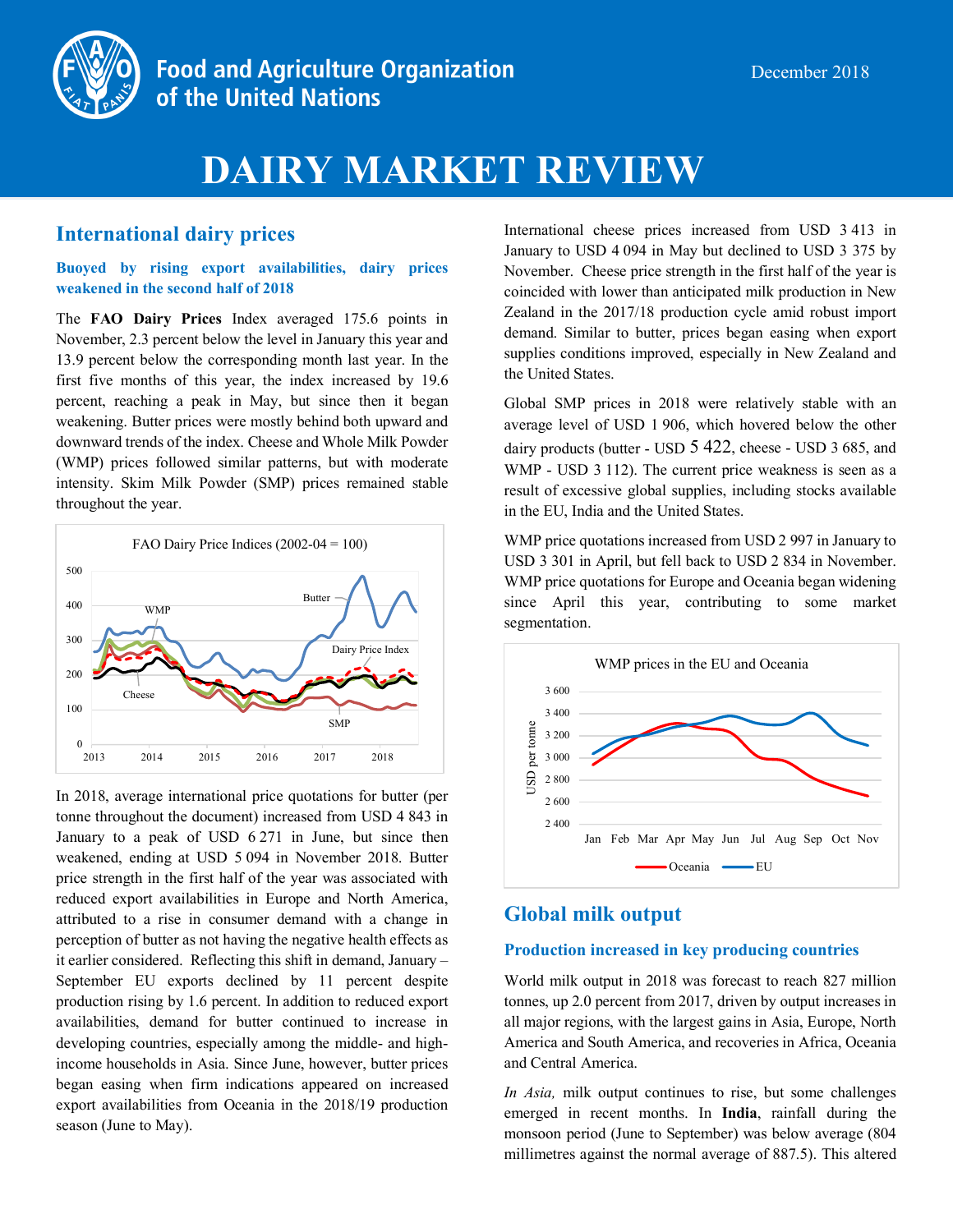

# **WORLD MIRKET REVIEW**

# **International dairy prices**

## **Buoyed by rising export availabilities, dairy prices weakened in the second half of 2018**

The **FAO Dairy Prices** Index averaged 175.6 points in November, 2.3 percent below the level in January this year and 13.9 percent below the corresponding month last year. In the first five months of this year, the index increased by 19.6 percent, reaching a peak in May, but since then it began weakening. Butter prices were mostly behind both upward and downward trends of the index. Cheese and Whole Milk Powder (WMP) prices followed similar patterns, but with moderate intensity. Skim Milk Powder (SMP) prices remained stable throughout the year.



In 2018, average international price quotations for butter (per tonne throughout the document) increased from USD 4 843 in January to a peak of USD 6 271 in June, but since then weakened, ending at USD 5 094 in November 2018. Butter price strength in the first half of the year was associated with reduced export availabilities in Europe and North America, attributed to a rise in consumer demand with a change in perception of butter as not having the negative health effects as it earlier considered. Reflecting this shift in demand, January – September EU exports declined by 11 percent despite production rising by 1.6 percent. In addition to reduced export availabilities, demand for butter continued to increase in developing countries, especially among the middle- and highincome households in Asia. Since June, however, butter prices began easing when firm indications appeared on increased export availabilities from Oceania in the 2018/19 production season (June to May).

International cheese prices increased from USD 3 413 in January to USD 4 094 in May but declined to USD 3 375 by November. Cheese price strength in the first half of the year is coincided with lower than anticipated milk production in New Zealand in the 2017/18 production cycle amid robust import demand. Similar to butter, prices began easing when export supplies conditions improved, especially in New Zealand and the United States.

Global SMP prices in 2018 were relatively stable with an average level of USD 1 906, which hovered below the other dairy products (butter - USD 5 422, cheese - USD 3 685, and WMP - USD 3 112). The current price weakness is seen as a result of excessive global supplies, including stocks available in the EU, India and the United States.

WMP price quotations increased from USD 2 997 in January to USD 3 301 in April, but fell back to USD 2 834 in November. WMP price quotations for Europe and Oceania began widening since April this year, contributing to some market segmentation.



# **Global milk output**

## **Production increased in key producing countries**

World milk output in 2018 was forecast to reach 827 million tonnes, up 2.0 percent from 2017, driven by output increases in all major regions, with the largest gains in Asia, Europe, North America and South America, and recoveries in Africa, Oceania and Central America.

*In Asia,* milk output continues to rise, but some challenges emerged in recent months. In **India**, rainfall during the monsoon period (June to September) was below average (804 millimetres against the normal average of 887.5). This altered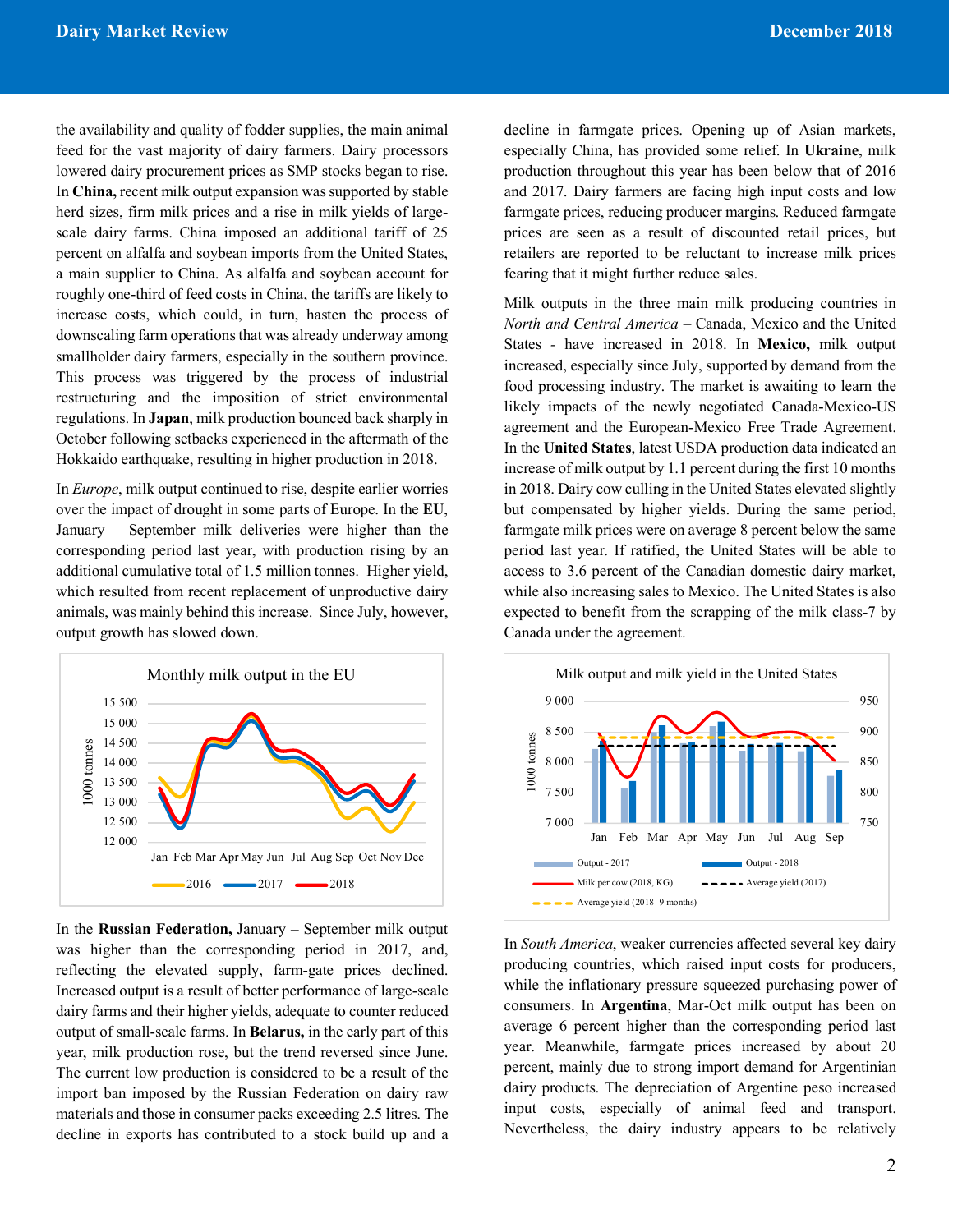the availability and quality of fodder supplies, the main animal feed for the vast majority of dairy farmers. Dairy processors lowered dairy procurement prices as SMP stocks began to rise. In **China,** recent milk output expansion was supported by stable herd sizes, firm milk prices and a rise in milk yields of largescale dairy farms. China imposed an additional tariff of 25 percent on alfalfa and soybean imports from the United States, a main supplier to China. As alfalfa and soybean account for roughly one-third of feed costs in China, the tariffs are likely to increase costs, which could, in turn, hasten the process of downscaling farm operations that was already underway among smallholder dairy farmers, especially in the southern province. This process was triggered by the process of industrial restructuring and the imposition of strict environmental regulations. In **Japan**, milk production bounced back sharply in October following setbacks experienced in the aftermath of the Hokkaido earthquake, resulting in higher production in 2018.

In *Europe*, milk output continued to rise, despite earlier worries over the impact of drought in some parts of Europe. In the **EU**, January – September milk deliveries were higher than the corresponding period last year, with production rising by an additional cumulative total of 1.5 million tonnes. Higher yield, which resulted from recent replacement of unproductive dairy animals, was mainly behind this increase. Since July, however, output growth has slowed down.



In the **Russian Federation,** January – September milk output was higher than the corresponding period in 2017, and, reflecting the elevated supply, farm-gate prices declined. Increased output is a result of better performance of large-scale dairy farms and their higher yields, adequate to counter reduced output of small-scale farms. In **Belarus,** in the early part of this year, milk production rose, but the trend reversed since June. The current low production is considered to be a result of the import ban imposed by the Russian Federation on dairy raw materials and those in consumer packs exceeding 2.5 litres. The decline in exports has contributed to a stock build up and a decline in farmgate prices. Opening up of Asian markets, especially China, has provided some relief. In **Ukraine**, milk production throughout this year has been below that of 2016 and 2017. Dairy farmers are facing high input costs and low farmgate prices, reducing producer margins. Reduced farmgate prices are seen as a result of discounted retail prices, but retailers are reported to be reluctant to increase milk prices fearing that it might further reduce sales.

Milk outputs in the three main milk producing countries in *North and Central America –* Canada, Mexico and the United States *-* have increased in 2018. In **Mexico,** milk output increased, especially since July, supported by demand from the food processing industry. The market is awaiting to learn the likely impacts of the newly negotiated Canada-Mexico-US agreement and the European-Mexico Free Trade Agreement. In the **United States**, latest USDA production data indicated an increase of milk output by 1.1 percent during the first 10 months in 2018. Dairy cow culling in the United States elevated slightly but compensated by higher yields. During the same period, farmgate milk prices were on average 8 percent below the same period last year. If ratified, the United States will be able to access to 3.6 percent of the Canadian domestic dairy market, while also increasing sales to Mexico. The United States is also expected to benefit from the scrapping of the milk class-7 by Canada under the agreement.



In *South America*, weaker currencies affected several key dairy producing countries, which raised input costs for producers, while the inflationary pressure squeezed purchasing power of consumers. In **Argentina**, Mar-Oct milk output has been on average 6 percent higher than the corresponding period last year. Meanwhile, farmgate prices increased by about 20 percent, mainly due to strong import demand for Argentinian dairy products. The depreciation of Argentine peso increased input costs, especially of animal feed and transport. Nevertheless, the dairy industry appears to be relatively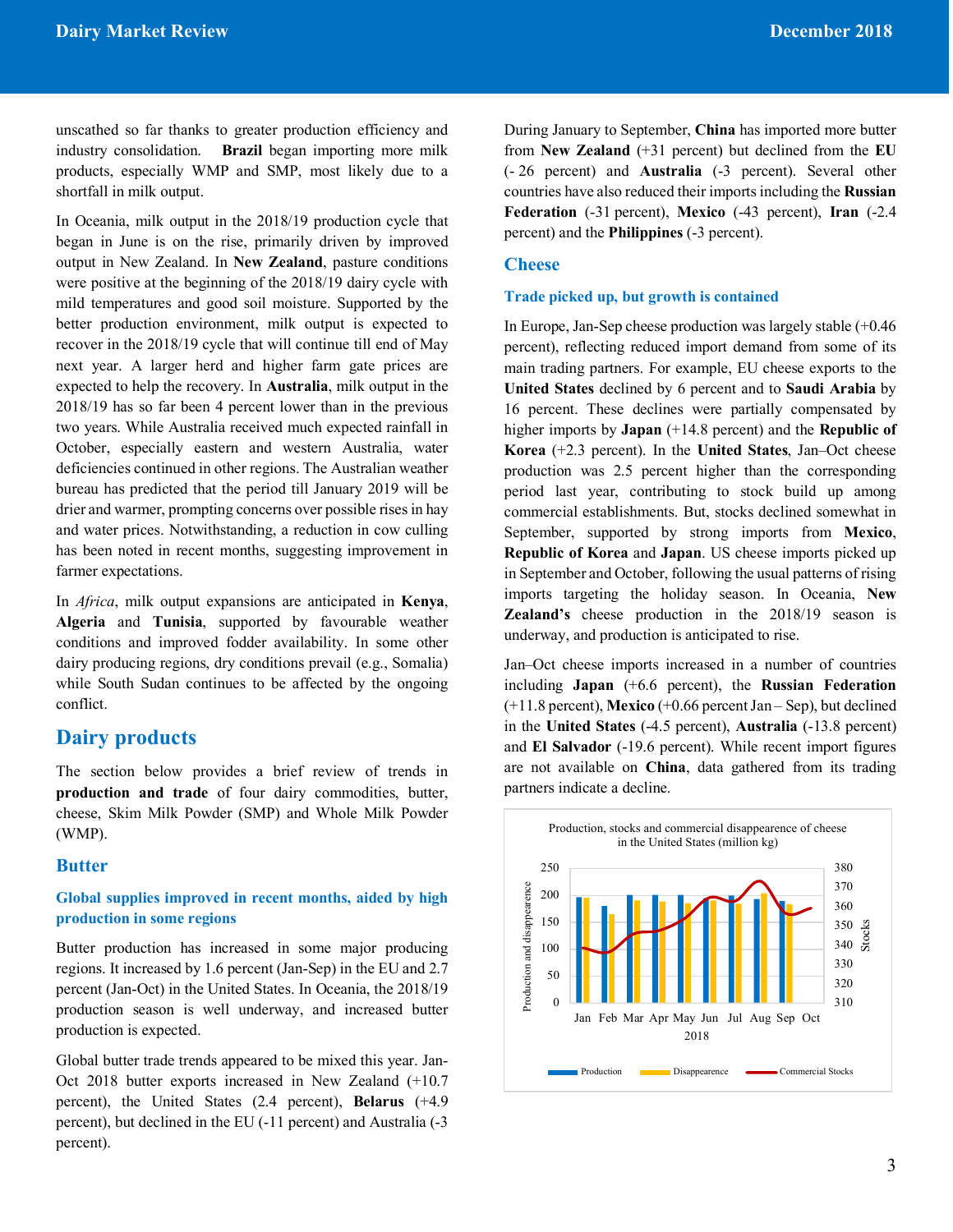unscathed so far thanks to greater production efficiency and industry consolidation. **Brazil** began importing more milk products, especially WMP and SMP, most likely due to a shortfall in milk output.

In Oceania, milk output in the 2018/19 production cycle that began in June is on the rise, primarily driven by improved output in New Zealand. In **New Zealand**, pasture conditions were positive at the beginning of the 2018/19 dairy cycle with mild temperatures and good soil moisture. Supported by the better production environment, milk output is expected to recover in the 2018/19 cycle that will continue till end of May next year. A larger herd and higher farm gate prices are expected to help the recovery. In **Australia**, milk output in the 2018/19 has so far been 4 percent lower than in the previous two years. While Australia received much expected rainfall in October, especially eastern and western Australia, water deficiencies continued in other regions. The Australian weather bureau has predicted that the period till January 2019 will be drier and warmer, prompting concerns over possible rises in hay and water prices. Notwithstanding, a reduction in cow culling has been noted in recent months, suggesting improvement in farmer expectations.

In *Africa*, milk output expansions are anticipated in **Kenya**, **Algeria** and **Tunisia**, supported by favourable weather conditions and improved fodder availability. In some other dairy producing regions, dry conditions prevail (e.g., Somalia) while South Sudan continues to be affected by the ongoing conflict.

# **Dairy products**

The section below provides a brief review of trends in **production and trade** of four dairy commodities, butter, cheese, Skim Milk Powder (SMP) and Whole Milk Powder (WMP).

## **Butter**

## **Global supplies improved in recent months, aided by high production in some regions**

Butter production has increased in some major producing regions. It increased by 1.6 percent (Jan-Sep) in the EU and 2.7 percent (Jan-Oct) in the United States. In Oceania, the 2018/19 production season is well underway, and increased butter production is expected.

Global butter trade trends appeared to be mixed this year. Jan-Oct 2018 butter exports increased in New Zealand (+10.7 percent), the United States (2.4 percent), **Belarus** (+4.9 percent), but declined in the EU (-11 percent) and Australia (-3 percent).

During January to September, **China** has imported more butter from **New Zealand** (+31 percent) but declined from the **EU** (- 26 percent) and **Australia** (-3 percent). Several other countries have also reduced their imports including the **Russian Federation** (-31 percent), **Mexico** (-43 percent), **Iran** (-2.4 percent) and the **Philippines** (-3 percent).

## **Cheese**

#### **Trade picked up, but growth is contained**

In Europe, Jan-Sep cheese production was largely stable (+0.46 percent), reflecting reduced import demand from some of its main trading partners. For example, EU cheese exports to the **United States** declined by 6 percent and to **Saudi Arabia** by 16 percent. These declines were partially compensated by higher imports by **Japan** (+14.8 percent) and the **Republic of Korea** (+2.3 percent). In the **United States**, Jan–Oct cheese production was 2.5 percent higher than the corresponding period last year, contributing to stock build up among commercial establishments. But, stocks declined somewhat in September, supported by strong imports from **Mexico**, **Republic of Korea** and **Japan**. US cheese imports picked up in September and October, following the usual patterns of rising imports targeting the holiday season. In Oceania, **New Zealand's** cheese production in the 2018/19 season is underway, and production is anticipated to rise.

Jan–Oct cheese imports increased in a number of countries including **Japan** (+6.6 percent), the **Russian Federation** (+11.8 percent), **Mexico** (+0.66 percent Jan – Sep), but declined in the **United States** (-4.5 percent), **Australia** (-13.8 percent) and **El Salvador** (-19.6 percent). While recent import figures are not available on **China**, data gathered from its trading partners indicate a decline.

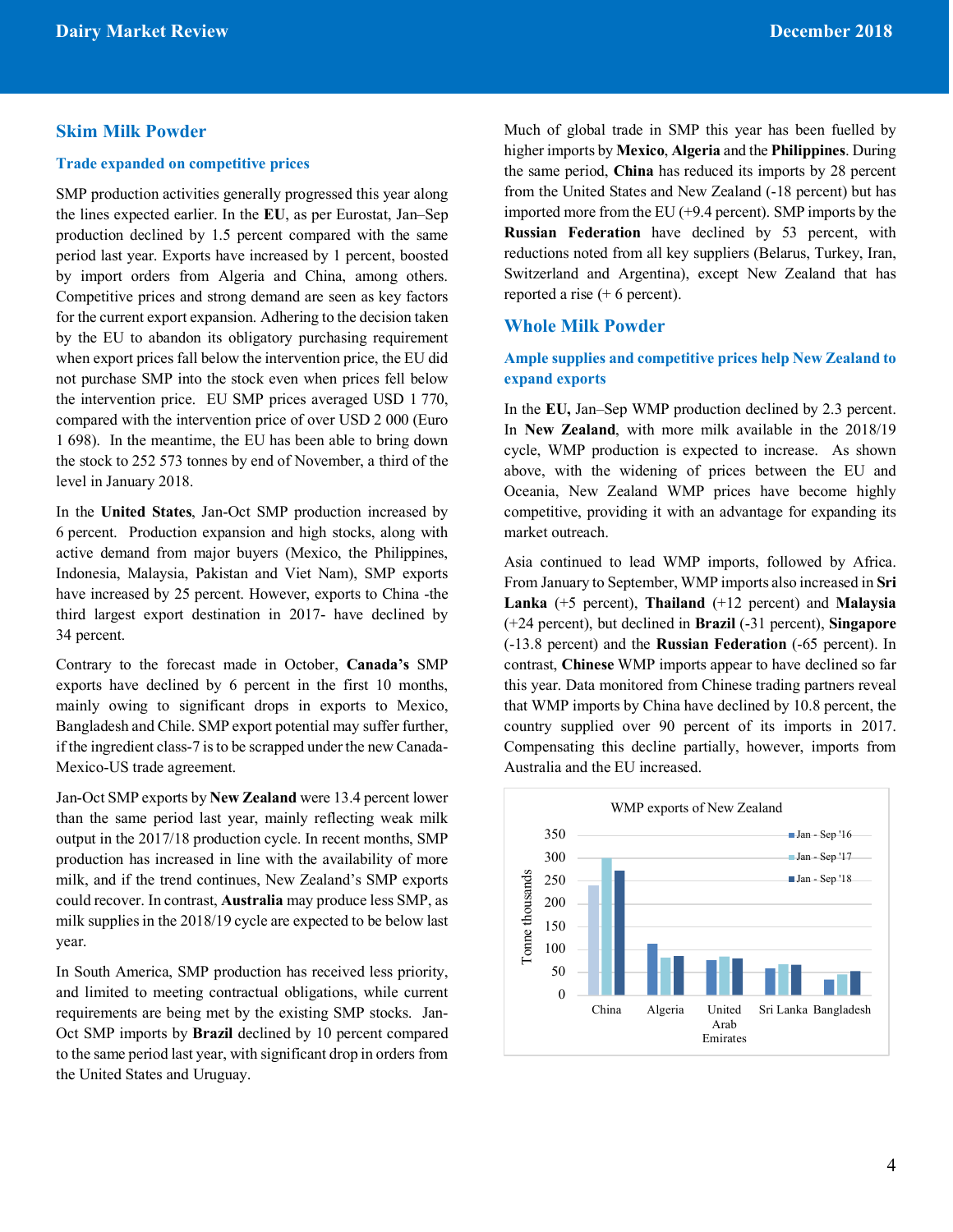## **Skim Milk Powder**

### **Trade expanded on competitive prices**

SMP production activities generally progressed this year along the lines expected earlier. In the **EU**, as per Eurostat, Jan–Sep production declined by 1.5 percent compared with the same period last year. Exports have increased by 1 percent, boosted by import orders from Algeria and China, among others. Competitive prices and strong demand are seen as key factors for the current export expansion. Adhering to the decision taken by the EU to abandon its obligatory purchasing requirement when export prices fall below the intervention price, the EU did not purchase SMP into the stock even when prices fell below the intervention price. EU SMP prices averaged USD 1 770, compared with the intervention price of over USD 2 000 (Euro 1 698). In the meantime, the EU has been able to bring down the stock to 252 573 tonnes by end of November, a third of the level in January 2018.

In the **United States**, Jan-Oct SMP production increased by 6 percent. Production expansion and high stocks, along with active demand from major buyers (Mexico, the Philippines, Indonesia, Malaysia, Pakistan and Viet Nam), SMP exports have increased by 25 percent. However, exports to China -the third largest export destination in 2017- have declined by 34 percent.

Contrary to the forecast made in October, **Canada's** SMP exports have declined by 6 percent in the first 10 months, mainly owing to significant drops in exports to Mexico, Bangladesh and Chile. SMP export potential may suffer further, if the ingredient class-7 is to be scrapped under the new Canada-Mexico-US trade agreement.

Jan-Oct SMP exports by **New Zealand** were 13.4 percent lower than the same period last year, mainly reflecting weak milk output in the 2017/18 production cycle. In recent months, SMP production has increased in line with the availability of more milk, and if the trend continues, New Zealand's SMP exports could recover. In contrast, **Australia** may produce less SMP, as milk supplies in the 2018/19 cycle are expected to be below last year.

In South America, SMP production has received less priority, and limited to meeting contractual obligations, while current requirements are being met by the existing SMP stocks. Jan-Oct SMP imports by **Brazil** declined by 10 percent compared to the same period last year, with significant drop in orders from the United States and Uruguay.

Much of global trade in SMP this year has been fuelled by higher imports by **Mexico**, **Algeria** and the **Philippines**. During the same period, **China** has reduced its imports by 28 percent from the United States and New Zealand (-18 percent) but has imported more from the EU (+9.4 percent). SMP imports by the **Russian Federation** have declined by 53 percent, with reductions noted from all key suppliers (Belarus, Turkey, Iran, Switzerland and Argentina), except New Zealand that has reported a rise  $(+ 6$  percent).

## **Whole Milk Powder**

## **Ample supplies and competitive prices help New Zealand to expand exports**

In the **EU,** Jan–Sep WMP production declined by 2.3 percent. In **New Zealand**, with more milk available in the 2018/19 cycle, WMP production is expected to increase. As shown above, with the widening of prices between the EU and Oceania, New Zealand WMP prices have become highly competitive, providing it with an advantage for expanding its market outreach.

Asia continued to lead WMP imports, followed by Africa. From January to September, WMP imports also increased in **Sri Lanka** (+5 percent), **Thailand** (+12 percent) and **Malaysia** (+24 percent), but declined in **Brazil** (-31 percent), **Singapore** (-13.8 percent) and the **Russian Federation** (-65 percent). In contrast, **Chinese** WMP imports appear to have declined so far this year. Data monitored from Chinese trading partners reveal that WMP imports by China have declined by 10.8 percent, the country supplied over 90 percent of its imports in 2017. Compensating this decline partially, however, imports from Australia and the EU increased.

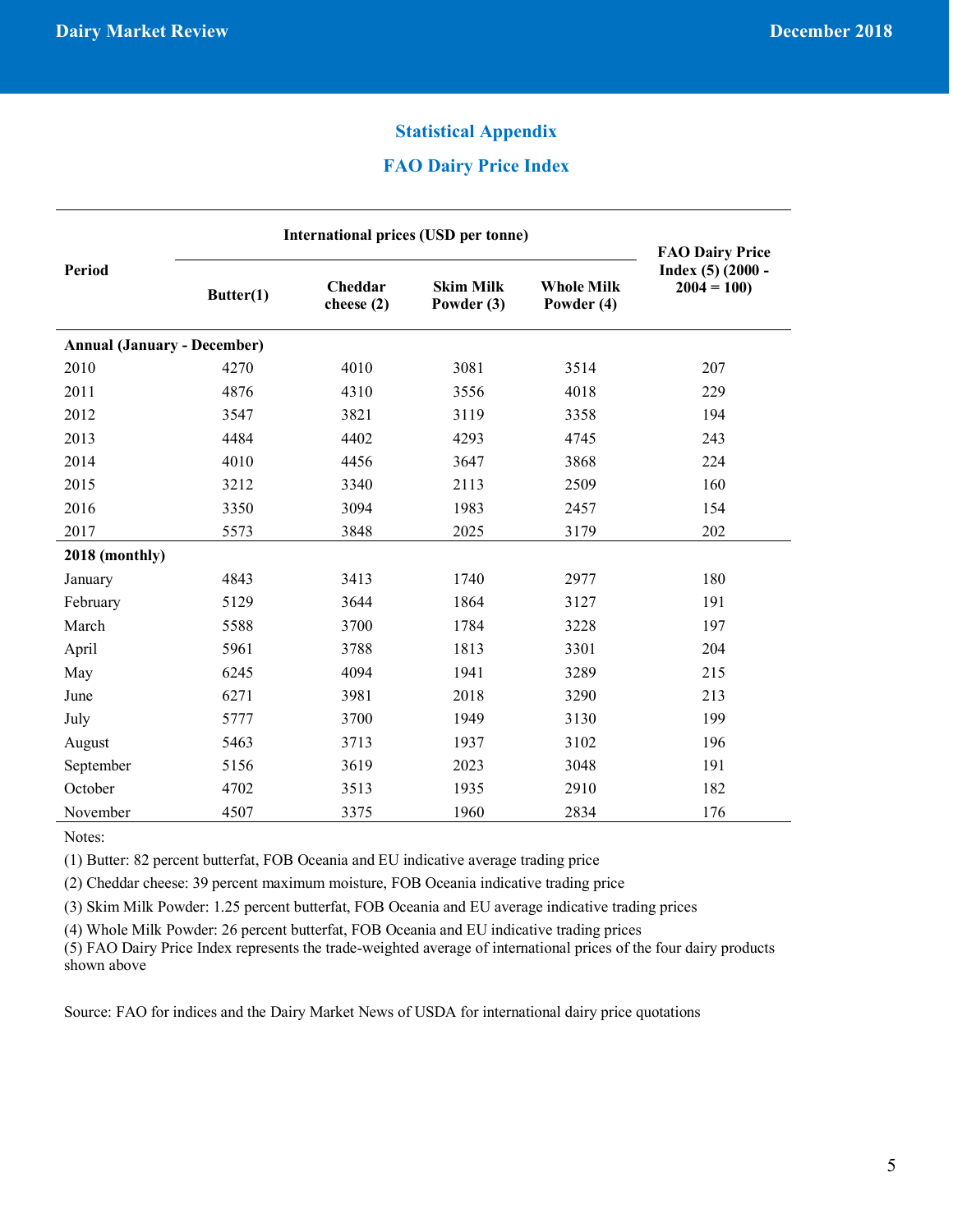# **Statistical Appendix**

# **FAO Dairy Price Index**

|                                    | International prices (USD per tonne) |                       |                                |                                 | <b>FAO Dairy Price</b>            |
|------------------------------------|--------------------------------------|-----------------------|--------------------------------|---------------------------------|-----------------------------------|
| <b>Period</b>                      | Butter $(1)$                         | Cheddar<br>cheese (2) | <b>Skim Milk</b><br>Powder (3) | <b>Whole Milk</b><br>Powder (4) | Index (5) (2000 -<br>$2004 = 100$ |
| <b>Annual (January - December)</b> |                                      |                       |                                |                                 |                                   |
| 2010                               | 4270                                 | 4010                  | 3081                           | 3514                            | 207                               |
| 2011                               | 4876                                 | 4310                  | 3556                           | 4018                            | 229                               |
| 2012                               | 3547                                 | 3821                  | 3119                           | 3358                            | 194                               |
| 2013                               | 4484                                 | 4402                  | 4293                           | 4745                            | 243                               |
| 2014                               | 4010                                 | 4456                  | 3647                           | 3868                            | 224                               |
| 2015                               | 3212                                 | 3340                  | 2113                           | 2509                            | 160                               |
| 2016                               | 3350                                 | 3094                  | 1983                           | 2457                            | 154                               |
| 2017                               | 5573                                 | 3848                  | 2025                           | 3179                            | 202                               |
| 2018 (monthly)                     |                                      |                       |                                |                                 |                                   |
| January                            | 4843                                 | 3413                  | 1740                           | 2977                            | 180                               |
| February                           | 5129                                 | 3644                  | 1864                           | 3127                            | 191                               |
| March                              | 5588                                 | 3700                  | 1784                           | 3228                            | 197                               |
| April                              | 5961                                 | 3788                  | 1813                           | 3301                            | 204                               |
| May                                | 6245                                 | 4094                  | 1941                           | 3289                            | 215                               |
| June                               | 6271                                 | 3981                  | 2018                           | 3290                            | 213                               |
| July                               | 5777                                 | 3700                  | 1949                           | 3130                            | 199                               |
| August                             | 5463                                 | 3713                  | 1937                           | 3102                            | 196                               |
| September                          | 5156                                 | 3619                  | 2023                           | 3048                            | 191                               |
| October                            | 4702                                 | 3513                  | 1935                           | 2910                            | 182                               |
| November                           | 4507                                 | 3375                  | 1960                           | 2834                            | 176                               |

Notes:

(1) Butter: 82 percent butterfat, FOB Oceania and EU indicative average trading price

(2) Cheddar cheese: 39 percent maximum moisture, FOB Oceania indicative trading price

(3) Skim Milk Powder: 1.25 percent butterfat, FOB Oceania and EU average indicative trading prices

(4) Whole Milk Powder: 26 percent butterfat, FOB Oceania and EU indicative trading prices

(5) FAO Dairy Price Index represents the trade-weighted average of international prices of the four dairy products shown above

Source: FAO for indices and the Dairy Market News of USDA for international dairy price quotations